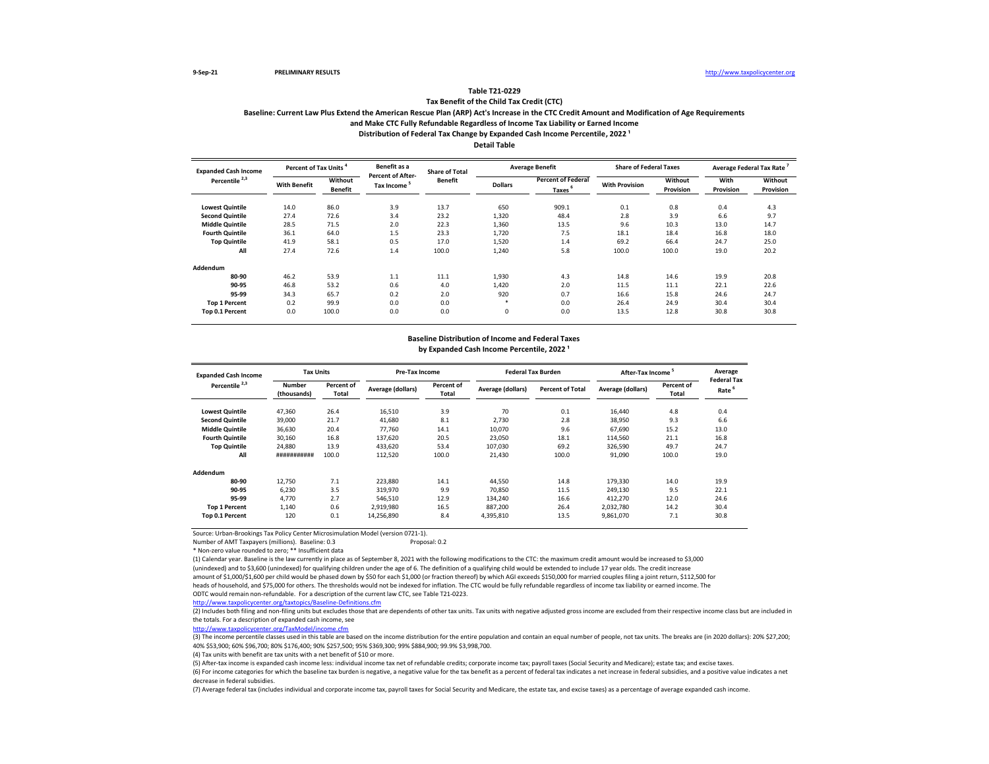#### **9-Sep-21 PRELIMINARY RESULTS** [http://www.](http://www.taxpolicycenter.org/)taxpolicycenter.org

## **Tax Benefit of the Child Tax Credit (CTC) Baseline: Current Law Plus Extend the American Rescue Plan (ARP) Act's Increase in the CTC Credit Amount and Modification of Age Requirements and Make CTC Fully Refundable Regardless of Income Tax Liability or Earned Income Table T21-0229** Distribution of Federal Tax Change by Expanded Cash Income Percentile, 2022<sup>1</sup>

**Detail Table**

| <b>Expanded Cash Income</b> | Percent of Tax Units |                    | Benefit as a<br><b>Percent of After-</b> | <b>Share of Total</b> |                | <b>Average Benefit</b>                          | <b>Share of Federal Taxes</b> |                      | Average Federal Tax Rate |                      |
|-----------------------------|----------------------|--------------------|------------------------------------------|-----------------------|----------------|-------------------------------------------------|-------------------------------|----------------------|--------------------------|----------------------|
| Percentile <sup>2,3</sup>   | <b>With Benefit</b>  | Without<br>Benefit | Tax Income <sup>5</sup>                  | <b>Benefit</b>        | <b>Dollars</b> | <b>Percent of Federal</b><br>Taxes <sup>6</sup> | <b>With Provision</b>         | Without<br>Provision | With<br>Provision        | Without<br>Provision |
| <b>Lowest Quintile</b>      | 14.0                 | 86.0               | 3.9                                      | 13.7                  | 650            | 909.1                                           | 0.1                           | 0.8                  | 0.4                      | 4.3                  |
| <b>Second Quintile</b>      | 27.4                 | 72.6               | 3.4                                      | 23.2                  | 1,320          | 48.4                                            | 2.8                           | 3.9                  | 6.6                      | 9.7                  |
| <b>Middle Quintile</b>      | 28.5                 | 71.5               | 2.0                                      | 22.3                  | 1,360          | 13.5                                            | 9.6                           | 10.3                 | 13.0                     | 14.7                 |
| <b>Fourth Quintile</b>      | 36.1                 | 64.0               | 1.5                                      | 23.3                  | 1,720          | 7.5                                             | 18.1                          | 18.4                 | 16.8                     | 18.0                 |
| <b>Top Quintile</b>         | 41.9                 | 58.1               | 0.5                                      | 17.0                  | 1,520          | 1.4                                             | 69.2                          | 66.4                 | 24.7                     | 25.0                 |
| All                         | 27.4                 | 72.6               | 1.4                                      | 100.0                 | 1,240          | 5.8                                             | 100.0                         | 100.0                | 19.0                     | 20.2                 |
| Addendum                    |                      |                    |                                          |                       |                |                                                 |                               |                      |                          |                      |
| 80-90                       | 46.2                 | 53.9               | 1.1                                      | 11.1                  | 1,930          | 4.3                                             | 14.8                          | 14.6                 | 19.9                     | 20.8                 |
| 90-95                       | 46.8                 | 53.2               | 0.6                                      | 4.0                   | 1,420          | 2.0                                             | 11.5                          | 11.1                 | 22.1                     | 22.6                 |
| 95-99                       | 34.3                 | 65.7               | 0.2                                      | 2.0                   | 920            | 0.7                                             | 16.6                          | 15.8                 | 24.6                     | 24.7                 |
| <b>Top 1 Percent</b>        | 0.2                  | 99.9               | 0.0                                      | 0.0                   |                | 0.0                                             | 26.4                          | 24.9                 | 30.4                     | 30.4                 |
| Top 0.1 Percent             | 0.0                  | 100.0              | 0.0                                      | 0.0                   | 0              | 0.0                                             | 13.5                          | 12.8                 | 30.8                     | 30.8                 |

#### **Baseline Distribution of Income and Federal Taxes** by Expanded Cash Income Percentile, 2022<sup>1</sup>

| <b>Expanded Cash Income</b> | <b>Tax Units</b>             |                     | <b>Pre-Tax Income</b> |                                          | <b>Federal Tax Burden</b> |                         | After-Tax Income  |                     | Average                                 |
|-----------------------------|------------------------------|---------------------|-----------------------|------------------------------------------|---------------------------|-------------------------|-------------------|---------------------|-----------------------------------------|
| Percentile <sup>2,3</sup>   | <b>Number</b><br>(thousands) | Percent of<br>Total | Average (dollars)     | Percent of<br>Average (dollars)<br>Total |                           | <b>Percent of Total</b> | Average (dollars) | Percent of<br>Total | <b>Federal Tax</b><br>Rate <sup>6</sup> |
| <b>Lowest Quintile</b>      | 47,360                       | 26.4                | 16,510                | 3.9                                      | 70                        | 0.1                     | 16,440            | 4.8                 | 0.4                                     |
| <b>Second Quintile</b>      | 39,000                       | 21.7                | 41.680                | 8.1                                      | 2.730                     | 2.8                     | 38,950            | 9.3                 | 6.6                                     |
| <b>Middle Quintile</b>      | 36,630                       | 20.4                | 77.760                | 14.1                                     | 10,070                    | 9.6                     | 67,690            | 15.2                | 13.0                                    |
| <b>Fourth Quintile</b>      | 30,160                       | 16.8                | 137,620               | 20.5                                     | 23,050                    | 18.1                    | 114,560           | 21.1                | 16.8                                    |
| <b>Top Quintile</b>         | 24,880                       | 13.9                | 433,620               | 53.4                                     | 107,030                   | 69.2                    | 326,590           | 49.7                | 24.7                                    |
| All                         | ###########                  | 100.0               | 112,520               | 100.0                                    | 21,430                    | 100.0                   | 91,090            | 100.0               | 19.0                                    |
| Addendum                    |                              |                     |                       |                                          |                           |                         |                   |                     |                                         |
| 80-90                       | 12,750                       | 7.1                 | 223,880               | 14.1                                     | 44,550                    | 14.8                    | 179,330           | 14.0                | 19.9                                    |
| 90-95                       | 6,230                        | 3.5                 | 319,970               | 9.9                                      | 70,850                    | 11.5                    | 249,130           | 9.5                 | 22.1                                    |
| 95-99                       | 4.770                        | 2.7                 | 546,510               | 12.9                                     | 134.240                   | 16.6                    | 412.270           | 12.0                | 24.6                                    |
| <b>Top 1 Percent</b>        | 1,140                        | 0.6                 | 2,919,980             | 16.5                                     | 887,200                   | 26.4                    | 2,032,780         | 14.2                | 30.4                                    |
| Top 0.1 Percent             | 120                          | 0.1                 | 14,256,890            | 8.4                                      | 4,395,810                 | 13.5                    | 9,861,070         | 7.1                 | 30.8                                    |

Source: Urban-Brookings Tax Policy Center Microsimulation Model (version 0721-1). Number of AMT Taxpayers (millions). Baseline: 0.3

\* Non-zero value rounded to zero; \*\* Insufficient data

(1) Calendar year. Baseline is the law currently in place as of September 8, 2021 with the following modifications to the CTC: the maximum credit amount would be increased to \$3,000 (unindexed) and to \$3,600 (unindexed) for qualifying children under the age of 6. The definition of a qualifying child would be extended to include 17 year olds. The credit increase amount of \$1,000/\$1,600 per child would be phased down by \$50 for each \$1,000 (or fraction thereof) by which AGI exceeds \$150,000 for married couples filing a joint return, \$112,500 for heads of household, and \$75,000 for others. The thresholds would not be indexed for inflation. The CTC would be fully refundable regardless of income tax liability or earned income. The ODTC would remain non-refundable. For a description of the current law CTC, see Table T21-0223.

<http://www.taxpolicycenter.org/taxtopics/Baseline-Definitions.cfm>

(2) Includes both filing and non-filing units but excludes those that are dependents of other tax units. Tax units with negative adjusted gross income are excluded from their respective income class but are included in the totals. For a description of expanded cash income, see

[http://www.taxpolicycente](http://www.taxpolicycenter.org/TaxModel/income.cfm)r.org/TaxModel/income.cfm

 $\frac{1}{(3)}$  The income percentile classes used in this table are based on the income distribution for the entire population and contain an equal number of people, not tax units. The breaks are (in 2020 dollars): 20% \$27,20 40% \$53,900; 60% \$96,700; 80% \$176,400; 90% \$257,500; 95% \$369,300; 99% \$884,900; 99.9% \$3,998,700.

(4) Tax units with benefit are tax units with a net benefit of \$10 or more.

(5) After-tax income is expanded cash income less: individual income tax net of refundable credits; corporate income tax; payroll taxes (Social Security and Medicare); estate tax; and excise taxes.

(6) For income categories for which the baseline tax burden is negative, a negative value for the tax benefit as a percent of federal tax indicates a net increase in federal subsidies, and a positive value indicates a net decrease in federal subsidies.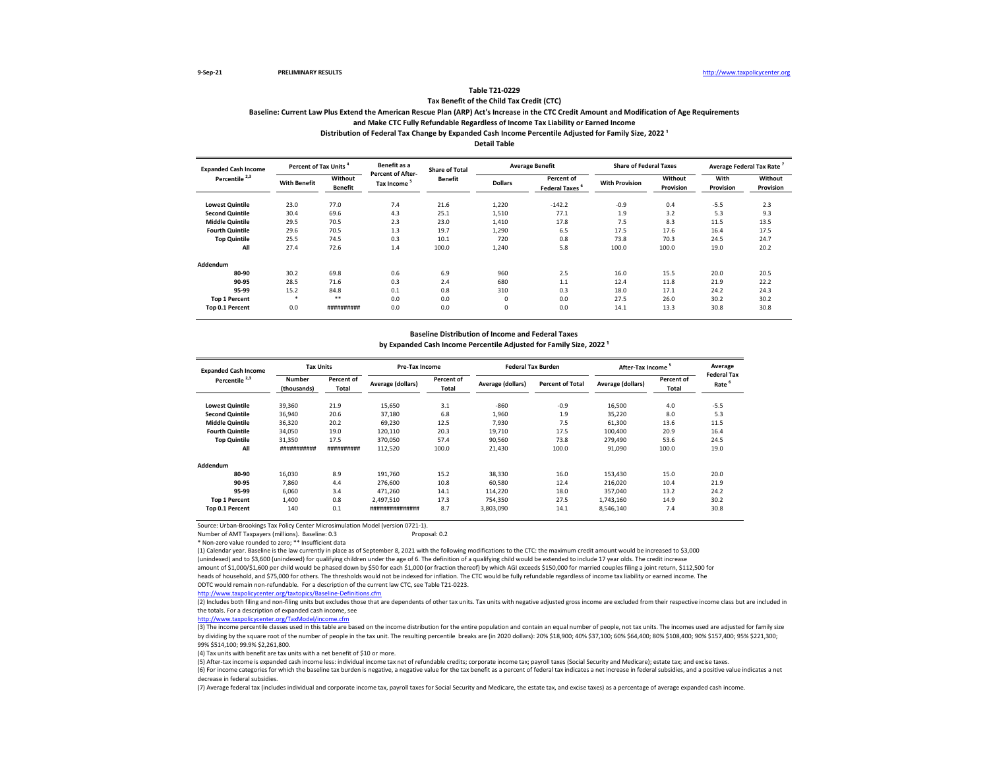#### **Tax Benefit of the Child Tax Credit (CTC)**

# **Baseline: Current Law Plus Extend the American Rescue Plan (ARP) Act's Increase in the CTC Credit Amount and Modification of Age Requirements**

**and Make CTC Fully Refundable Regardless of Income Tax Liability or Earned Income**

Distribution of Federal Tax Change by Expanded Cash Income Percentile Adjusted for Family Size, 2022<sup>1</sup>

**Detail Table**

| <b>Expanded Cash Income</b> |                     | Percent of Tax Units <sup>4</sup> |                                              | <b>Share of Total</b> |                | <b>Average Benefit</b>                   | <b>Share of Federal Taxes</b> |                      | Average Federal Tax Rate |                      |
|-----------------------------|---------------------|-----------------------------------|----------------------------------------------|-----------------------|----------------|------------------------------------------|-------------------------------|----------------------|--------------------------|----------------------|
| Percentile <sup>2,3</sup>   | <b>With Benefit</b> | Without<br><b>Benefit</b>         | Percent of After-<br>Tax Income <sup>5</sup> | <b>Benefit</b>        | <b>Dollars</b> | Percent of<br>Federal Taxes <sup>6</sup> | <b>With Provision</b>         | Without<br>Provision | With<br>Provision        | Without<br>Provision |
| <b>Lowest Quintile</b>      | 23.0                | 77.0                              | 7.4                                          | 21.6                  | 1,220          | $-142.2$                                 | $-0.9$                        | 0.4                  | $-5.5$                   | 2.3                  |
| <b>Second Quintile</b>      | 30.4                | 69.6                              | 4.3                                          | 25.1                  | 1,510          | 77.1                                     | 1.9                           | 3.2                  | 5.3                      | 9.3                  |
| <b>Middle Quintile</b>      | 29.5                | 70.5                              | 2.3                                          | 23.0                  | 1,410          | 17.8                                     | 7.5                           | 8.3                  | 11.5                     | 13.5                 |
| <b>Fourth Quintile</b>      | 29.6                | 70.5                              | 1.3                                          | 19.7                  | 1,290          | 6.5                                      | 17.5                          | 17.6                 | 16.4                     | 17.5                 |
| <b>Top Quintile</b>         | 25.5                | 74.5                              | 0.3                                          | 10.1                  | 720            | 0.8                                      | 73.8                          | 70.3                 | 24.5                     | 24.7                 |
| All                         | 27.4                | 72.6                              | 1.4                                          | 100.0                 | 1,240          | 5.8                                      | 100.0                         | 100.0                | 19.0                     | 20.2                 |
| Addendum                    |                     |                                   |                                              |                       |                |                                          |                               |                      |                          |                      |
| 80-90                       | 30.2                | 69.8                              | 0.6                                          | 6.9                   | 960            | 2.5                                      | 16.0                          | 15.5                 | 20.0                     | 20.5                 |
| 90-95                       | 28.5                | 71.6                              | 0.3                                          | 2.4                   | 680            | $1.1$                                    | 12.4                          | 11.8                 | 21.9                     | 22.2                 |
| 95-99                       | 15.2                | 84.8                              | 0.1                                          | 0.8                   | 310            | 0.3                                      | 18.0                          | 17.1                 | 24.2                     | 24.3                 |
| <b>Top 1 Percent</b>        | $\ast$              | $* *$                             | 0.0                                          | 0.0                   | $\mathbf 0$    | 0.0                                      | 27.5                          | 26.0                 | 30.2                     | 30.2                 |
| Top 0.1 Percent             | 0.0                 | ##########                        | 0.0                                          | 0.0                   | 0              | 0.0                                      | 14.1                          | 13.3                 | 30.8                     | 30.8                 |

#### **Baseline Distribution of Income and Federal Taxes**

by Expanded Cash Income Percentile Adjusted for Family Size, 2022<sup>1</sup>

| <b>Expanded Cash Income</b> | <b>Tax Units</b>      |                     | Pre-Tax Income    |                     |                   | <b>Federal Tax Burden</b> | After-Tax Income  |                     | Average                                 |
|-----------------------------|-----------------------|---------------------|-------------------|---------------------|-------------------|---------------------------|-------------------|---------------------|-----------------------------------------|
| Percentile <sup>2,3</sup>   | Number<br>(thousands) | Percent of<br>Total | Average (dollars) | Percent of<br>Total | Average (dollars) | <b>Percent of Total</b>   | Average (dollars) | Percent of<br>Total | <b>Federal Tax</b><br>Rate <sup>6</sup> |
| <b>Lowest Quintile</b>      | 39,360                | 21.9                | 15,650            | 3.1                 | $-860$            | $-0.9$                    | 16,500            | 4.0                 | $-5.5$                                  |
| <b>Second Quintile</b>      | 36,940                | 20.6                | 37.180            | 6.8                 | 1,960             | 1.9                       | 35.220            | 8.0                 | 5.3                                     |
| <b>Middle Quintile</b>      | 36,320                | 20.2                | 69,230            | 12.5                | 7.930             | 7.5                       | 61,300            | 13.6                | 11.5                                    |
| <b>Fourth Quintile</b>      | 34,050                | 19.0                | 120,110           | 20.3                | 19,710            | 17.5                      | 100.400           | 20.9                | 16.4                                    |
| <b>Top Quintile</b>         | 31,350                | 17.5                | 370.050           | 57.4                | 90,560            | 73.8                      | 279.490           | 53.6                | 24.5                                    |
| All                         | ###########           | ##########          | 112,520           | 100.0               | 21.430            | 100.0                     | 91,090            | 100.0               | 19.0                                    |
| Addendum                    |                       |                     |                   |                     |                   |                           |                   |                     |                                         |
| 80-90                       | 16,030                | 8.9                 | 191,760           | 15.2                | 38,330            | 16.0                      | 153.430           | 15.0                | 20.0                                    |
| 90-95                       | 7.860                 | 4.4                 | 276,600           | 10.8                | 60,580            | 12.4                      | 216,020           | 10.4                | 21.9                                    |
| 95-99                       | 6.060                 | 3.4                 | 471.260           | 14.1                | 114,220           | 18.0                      | 357.040           | 13.2                | 24.2                                    |
| <b>Top 1 Percent</b>        | 1.400                 | 0.8                 | 2,497,510         | 17.3                | 754.350           | 27.5                      | 1,743,160         | 14.9                | 30.2                                    |
| Top 0.1 Percent             | 140                   | 0.1                 | ###############   | 8.7                 | 3,803,090         | 14.1                      | 8,546,140         | 7.4                 | 30.8                                    |

Source: Urban-Brookings Tax Policy Center Microsimulation Model (version 0721-1).

Number of AMT Taxpayers (millions). Baseline: 0.3 Proposal: 0.2

\* Non-zero value rounded to zero; \*\* Insufficient data

(1) Calendar year. Baseline is the law currently in place as of September 8, 2021 with the following modifications to the CTC: the maximum credit amount would be increased to \$3,000 (unindexed) and to \$3,600 (unindexed) for qualifying children under the age of 6. The definition of a qualifying child would be extended to include 17 year olds. The credit increase amount of \$1,000/\$1,600 per child would be phased down by \$50 for each \$1,000 (or fraction thereof) by which AGI exceeds \$150,000 for married couples filing a joint return, \$112,500 for heads of household, and \$75,000 for others. The thresholds would not be indexed for inflation. The CTC would be fully refundable regardless of income tax liability or earned income. The ODTC would remain non-refundable. For a description of the current law CTC, see Table T21-0223.

<http://www.taxpolicycenter.org/taxtopics/Baseline-Definitions.cfm>

(2) Includes both filing and non-filing units but excludes those that are dependents of other tax units. Tax units with negative adjusted gross income are excluded from their respective income class but are included in the totals. For a description of expanded cash income, see

[http://www.taxpolicycente](http://www.taxpolicycenter.org/TaxModel/income.cfm)r.org/TaxModel/income.cfm

(3) The income percentile classes used in this table are based on the income distribution for the entire population and contain an equal number of people, not tax units. The incomes used are adjusted for family size by dividing by the square root of the number of people in the tax unit. The resulting percentile breaks are (in 2020 dollars): 20% \$18,900; 40% \$37,100; 60% \$64,400; 80% \$108,400; 90% \$157,400; 95% \$221,300; 99% \$514,100; 99.9% \$2,261,800.

(4) Tax units with benefit are tax units with a net benefit of \$10 or more.

(5) After-tax income is expanded cash income less: individual income tax net of refundable credits; corporate income tax; payroll taxes (Social Security and Medicare); estate tax; and excise taxes.

(6) For income categories for which the baseline tax burden is negative, a negative value for the tax benefit as a percent of federal tax indicates a net increase in federal subsidies, and a positive value indicates a net decrease in federal subsidies.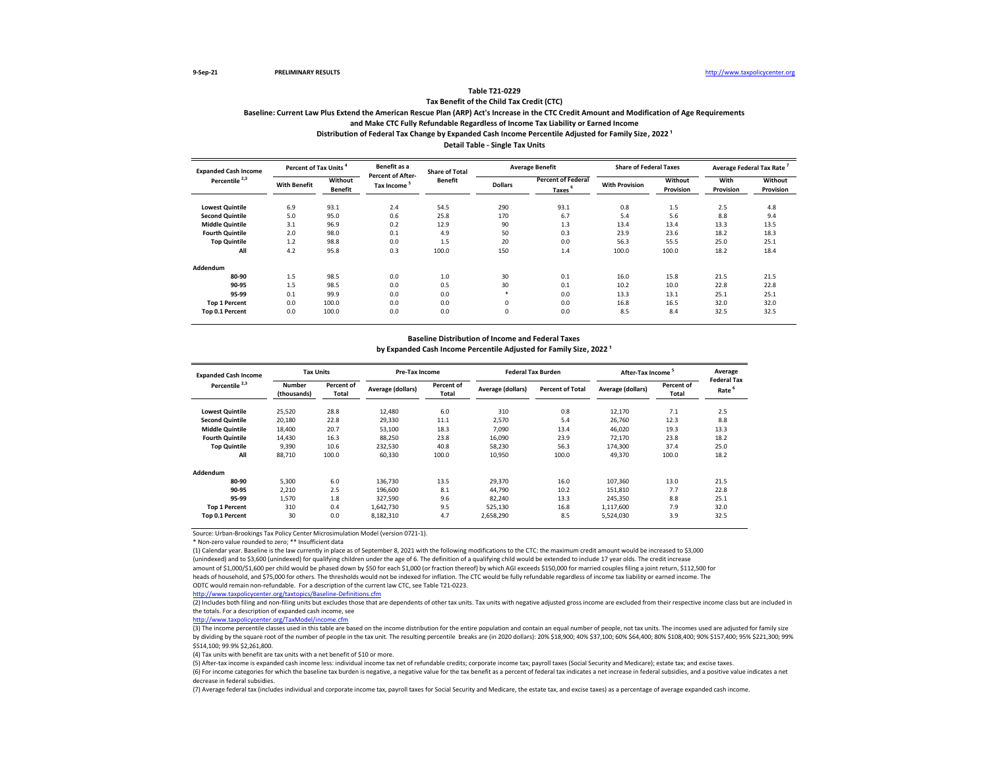## **Tax Benefit of the Child Tax Credit (CTC) Baseline: Current Law Plus Extend the American Rescue Plan (ARP) Act's Increase in the CTC Credit Amount and Modification of Age Requirements and Make CTC Fully Refundable Regardless of Income Tax Liability or Earned Income** Distribution of Federal Tax Change by Expanded Cash Income Percentile Adjusted for Family Size, 2022<sup>1</sup>

**Detail Table - Single Tax Units**

| <b>Expanded Cash Income</b> |                                                  | Percent of Tax Units                                |                | <b>Share of Total</b> |                                                 | <b>Average Benefit</b> | <b>Share of Federal Taxes</b> |                   | <b>Average Federal Tax Rate</b> |      |
|-----------------------------|--------------------------------------------------|-----------------------------------------------------|----------------|-----------------------|-------------------------------------------------|------------------------|-------------------------------|-------------------|---------------------------------|------|
| Percentile <sup>2,3</sup>   | Without<br><b>With Benefit</b><br><b>Benefit</b> | <b>Percent of After-</b><br>Tax Income <sup>5</sup> | <b>Benefit</b> | <b>Dollars</b>        | <b>Percent of Federal</b><br>Taxes <sup>6</sup> | <b>With Provision</b>  | Without<br>Provision          | With<br>Provision | Without<br>Provision            |      |
| <b>Lowest Quintile</b>      | 6.9                                              | 93.1                                                | 2.4            | 54.5                  | 290                                             | 93.1                   | 0.8                           | 1.5               | 2.5                             | 4.8  |
| <b>Second Quintile</b>      | 5.0                                              | 95.0                                                | 0.6            | 25.8                  | 170                                             | 6.7                    | 5.4                           | 5.6               | 8.8                             | 9.4  |
| <b>Middle Quintile</b>      | 3.1                                              | 96.9                                                | 0.2            | 12.9                  | 90                                              | 1.3                    | 13.4                          | 13.4              | 13.3                            | 13.5 |
| <b>Fourth Quintile</b>      | 2.0                                              | 98.0                                                | 0.1            | 4.9                   | 50                                              | 0.3                    | 23.9                          | 23.6              | 18.2                            | 18.3 |
| <b>Top Quintile</b>         | 1.2                                              | 98.8                                                | 0.0            | 1.5                   | 20                                              | 0.0                    | 56.3                          | 55.5              | 25.0                            | 25.1 |
| All                         | 4.2                                              | 95.8                                                | 0.3            | 100.0                 | 150                                             | 1.4                    | 100.0                         | 100.0             | 18.2                            | 18.4 |
| Addendum                    |                                                  |                                                     |                |                       |                                                 |                        |                               |                   |                                 |      |
| 80-90                       | 1.5                                              | 98.5                                                | 0.0            | 1.0                   | 30                                              | 0.1                    | 16.0                          | 15.8              | 21.5                            | 21.5 |
| 90-95                       | 1.5                                              | 98.5                                                | 0.0            | 0.5                   | 30                                              | 0.1                    | 10.2                          | 10.0              | 22.8                            | 22.8 |
| 95-99                       | 0.1                                              | 99.9                                                | 0.0            | 0.0                   | $\ast$                                          | 0.0                    | 13.3                          | 13.1              | 25.1                            | 25.1 |
| <b>Top 1 Percent</b>        | 0.0                                              | 100.0                                               | 0.0            | 0.0                   | 0                                               | 0.0                    | 16.8                          | 16.5              | 32.0                            | 32.0 |
| Top 0.1 Percent             | 0.0                                              | 100.0                                               | 0.0            | 0.0                   | 0                                               | 0.0                    | 8.5                           | 8.4               | 32.5                            | 32.5 |

#### **Baseline Distribution of Income and Federal Taxes**

by Expanded Cash Income Percentile Adjusted for Family Size, 2022<sup>1</sup>

| <b>Expanded Cash Income</b> | <b>Tax Units</b>             |                     | <b>Pre-Tax Income</b>                    |       |                   | <b>Federal Tax Burden</b> | After-Tax Income  |                     | Average                                 |
|-----------------------------|------------------------------|---------------------|------------------------------------------|-------|-------------------|---------------------------|-------------------|---------------------|-----------------------------------------|
| Percentile <sup>2,3</sup>   | <b>Number</b><br>(thousands) | Percent of<br>Total | Percent of<br>Average (dollars)<br>Total |       | Average (dollars) | <b>Percent of Total</b>   | Average (dollars) | Percent of<br>Total | <b>Federal Tax</b><br>Rate <sup>6</sup> |
| <b>Lowest Quintile</b>      | 25,520                       | 28.8                | 12,480                                   | 6.0   | 310               | 0.8                       | 12,170            | 7.1                 | 2.5                                     |
| <b>Second Quintile</b>      | 20,180                       | 22.8                | 29,330                                   | 11.1  | 2.570             | 5.4                       | 26,760            | 12.3                | 8.8                                     |
| <b>Middle Quintile</b>      | 18,400                       | 20.7                | 53,100                                   | 18.3  | 7.090             | 13.4                      | 46,020            | 19.3                | 13.3                                    |
| <b>Fourth Quintile</b>      | 14,430                       | 16.3                | 88,250                                   | 23.8  | 16,090            | 23.9                      | 72,170            | 23.8                | 18.2                                    |
| <b>Top Quintile</b>         | 9,390                        | 10.6                | 232,530                                  | 40.8  | 58,230            | 56.3                      | 174,300           | 37.4                | 25.0                                    |
| All                         | 88,710                       | 100.0               | 60,330                                   | 100.0 | 10,950            | 100.0                     | 49,370            | 100.0               | 18.2                                    |
| Addendum                    |                              |                     |                                          |       |                   |                           |                   |                     |                                         |
| 80-90                       | 5,300                        | 6.0                 | 136,730                                  | 13.5  | 29,370            | 16.0                      | 107,360           | 13.0                | 21.5                                    |
| 90-95                       | 2,210                        | 2.5                 | 196,600                                  | 8.1   | 44,790            | 10.2                      | 151,810           | 7.7                 | 22.8                                    |
| 95-99                       | 1,570                        | 1.8                 | 327.590                                  | 9.6   | 82,240            | 13.3                      | 245,350           | 8.8                 | 25.1                                    |
| <b>Top 1 Percent</b>        | 310                          | 0.4                 | 1,642,730                                | 9.5   | 525,130           | 16.8                      | 1,117,600         | 7.9                 | 32.0                                    |
| Top 0.1 Percent             | 30                           | 0.0                 | 8,182,310                                | 4.7   | 2,658,290         | 8.5                       | 5,524,030         | 3.9                 | 32.5                                    |

Source: Urban-Brookings Tax Policy Center Microsimulation Model (version 0721-1).

\* Non-zero value rounded to zero; \*\* Insufficient data

(1) Calendar year. Baseline is the law currently in place as of September 8, 2021 with the following modifications to the CTC: the maximum credit amount would be increased to \$3,000 (unindexed) and to \$3,600 (unindexed) for qualifying children under the age of 6. The definition of a qualifying child would be extended to include 17 year olds. The credit increase amount of \$1,000/\$1,600 per child would be phased down by \$50 for each \$1,000 (or fraction thereof) by which AGI exceeds \$150,000 for married couples filing a joint return, \$112,500 for heads of household, and \$75,000 for others. The thresholds would not be indexed for inflation. The CTC would be fully refundable regardless of income tax liability or earned income. The ODTC would remain non-refundable. For a description of the current law CTC, see Table T21-0223.

<http://www.taxpolicycenter.org/taxtopics/Baseline-Definitions.cfm>

(2) Includes both filing and non-filing units but excludes those that are dependents of other tax units. Tax units with negative adjusted gross income are excluded from their respective income class but are included in the totals. For a description of expanded cash income, see

[http://www.taxpolicycente](http://www.taxpolicycenter.org/TaxModel/income.cfm)r.org/TaxModel/income.cfm

(3) The income percentile classes used in this table are based on the income distribution for the entire population and contain an equal number of people, not tax units. The incomes used are adjusted for family size by dividing by the square root of the number of people in the tax unit. The resulting percentile breaks are (in 2020 dollars): 20% \$18,900; 40% \$37,100; 60% \$64,400; 80% \$108,400; 90% \$157,400; 95% \$221,300; 99% \$514,100; 99.9% \$2,261,800.

(4) Tax units with benefit are tax units with a net benefit of \$10 or more.

(5) After-tax income is expanded cash income less: individual income tax net of refundable credits; corporate income tax; payroll taxes (Social Security and Medicare); estate tax; and excise taxes.

(6) For income categories for which the baseline tax burden is negative, a negative value for the tax benefit as a percent of federal tax indicates a net increase in federal subsidies, and a positive value indicates a net decrease in federal subsidies.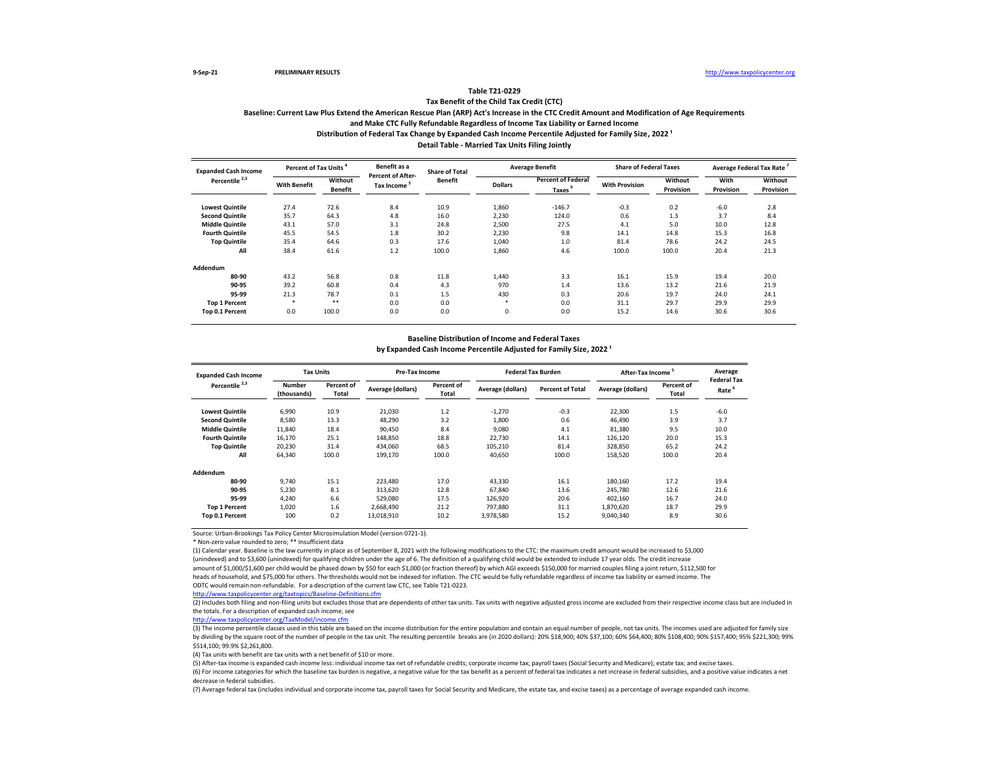#### **Tax Benefit of the Child Tax Credit (CTC) Baseline: Current Law Plus Extend the American Rescue Plan (ARP) Act's Increase in the CTC Credit Amount and Modification of Age Requirements and Make CTC Fully Refundable Regardless of Income Tax Liability or Earned Income** Distribution of Federal Tax Change by Expanded Cash Income Percentile Adjusted for Family Size, 2022<sup>1</sup> **Detail Table - Married Tax Units Filing Jointly**

**Lowest Quintile** 27.4 72.6 8.4 10.9 1,860 -146.7 -0.3 0.2 -6.0 2.8 **Second Quintile** 35.7 64.3 4.8 16.0 2,230 124.0 0.6 1.3 3.7 8.4 **Middle Quintile** 43.1 57.0 3.1 24.8 2,500 27.5 4.1 5.0 10.0 12.8 **Fourth Quintile** 45.5 54.5 1.8 30.2 2,230 9.8 14.1 14.8 15.3 16.8 **Top Quintile** 35.4 64.6 0.3 17.6 1,040 1.0 81.4 78.6 24.2 24.5 **All** 38.4 61.6 1.2 100.0 1,860 4.6 100.0 100.0 20.4 21.3 **Addendum 80-90** 43.2 56.8 0.8 11.8 1,440 3.3 16.1 15.9 19.4 20.0 **90-95** 39.2 60.8 0.4 4.3 970 1.4 13.6 13.2 21.6 21.9 **95-99** 21.3 78.7 0.1 1.5 430 0.3 20.6 19.7 24.0 24.1 **Top 1 Percent** \* \*\* 0.0 0.0 \* 0.0 31.1 29.7 29.9 29.9 **Top 0.1 Percent** 0.0 100.0 0.0 0.0 0 0.0 15.2 14.6 30.6 30.6 **Average Federal Tax Rate <sup>7</sup> With Benefit Without Benefit Dollars Tax Income <sup>5</sup> Percent of Federal Taxes 6 1 With Provision Without Taxes 6 Provision Provision With Provision Without Provision Expanded Cash Income Percentile 2,3 Percent of Tax Units <sup>4</sup> Benefit as a Percent of After-Share of Total Benefit Average Benefit Share of Federal Taxes**

#### **Baseline Distribution of Income and Federal Taxes**

by Expanded Cash Income Percentile Adjusted for Family Size, 2022<sup>1</sup>

| <b>Expanded Cash Income</b> |                              | <b>Tax Units</b>    |                   | <b>Pre-Tax Income</b> |                   | <b>Federal Tax Burden</b> | <b>After-Tax Income</b> |                     | Average                                 |
|-----------------------------|------------------------------|---------------------|-------------------|-----------------------|-------------------|---------------------------|-------------------------|---------------------|-----------------------------------------|
| Percentile <sup>2,3</sup>   | <b>Number</b><br>(thousands) | Percent of<br>Total | Average (dollars) | Percent of<br>Total   | Average (dollars) | <b>Percent of Total</b>   | Average (dollars)       | Percent of<br>Total | <b>Federal Tax</b><br>Rate <sup>6</sup> |
| <b>Lowest Quintile</b>      | 6,990                        | 10.9                | 21,030            | 1.2                   | $-1,270$          | $-0.3$                    | 22,300                  | 1.5                 | $-6.0$                                  |
| <b>Second Quintile</b>      | 8,580                        | 13.3                | 48,290            | 3.2                   | 1.800             | 0.6                       | 46,490                  | 3.9                 | 3.7                                     |
| <b>Middle Quintile</b>      | 11,840                       | 18.4                | 90.450            | 8.4                   | 9.080             | 4.1                       | 81,380                  | 9.5                 | 10.0                                    |
| <b>Fourth Quintile</b>      | 16,170                       | 25.1                | 148,850           | 18.8                  | 22.730            | 14.1                      | 126.120                 | 20.0                | 15.3                                    |
| <b>Top Quintile</b>         | 20.230                       | 31.4                | 434.060           | 68.5                  | 105.210           | 81.4                      | 328,850                 | 65.2                | 24.2                                    |
| All                         | 64,340                       | 100.0               | 199,170           | 100.0                 | 40,650            | 100.0                     | 158,520                 | 100.0               | 20.4                                    |
| Addendum                    |                              |                     |                   |                       |                   |                           |                         |                     |                                         |
| 80-90                       | 9,740                        | 15.1                | 223,480           | 17.0                  | 43,330            | 16.1                      | 180,160                 | 17.2                | 19.4                                    |
| 90-95                       | 5,230                        | 8.1                 | 313,620           | 12.8                  | 67,840            | 13.6                      | 245,780                 | 12.6                | 21.6                                    |
| 95-99                       | 4,240                        | 6.6                 | 529,080           | 17.5                  | 126,920           | 20.6                      | 402,160                 | 16.7                | 24.0                                    |
| <b>Top 1 Percent</b>        | 1,020                        | 1.6                 | 2,668,490         | 21.2                  | 797,880           | 31.1                      | 1,870,620               | 18.7                | 29.9                                    |
| Top 0.1 Percent             | 100                          | 0.2                 | 13,018,910        | 10.2                  | 3,978,580         | 15.2                      | 9,040,340               | 8.9                 | 30.6                                    |

Source: Urban-Brookings Tax Policy Center Microsimulation Model (version 0721-1).

\* Non-zero value rounded to zero; \*\* Insufficient data

(1) Calendar year. Baseline is the law currently in place as of September 8, 2021 with the following modifications to the CTC: the maximum credit amount would be increased to \$3,000 (unindexed) and to \$3,600 (unindexed) for qualifying children under the age of 6. The definition of a qualifying child would be extended to include 17 year olds. The credit increase amount of \$1,000/\$1,600 per child would be phased down by \$50 for each \$1,000 (or fraction thereof) by which AGI exceeds \$150,000 for married couples filing a joint return, \$112,500 for heads of household, and \$75,000 for others. The thresholds would not be indexed for inflation. The CTC would be fully refundable regardless of income tax liability or earned income. The ODTC would remain non-refundable. For a description of the current law CTC, see Table T21-0223.

<http://www.taxpolicycenter.org/taxtopics/Baseline-Definitions.cfm>

(2) Includes both filing and non-filing units but excludes those that are dependents of other tax units. Tax units with negative adjusted gross income are excluded from their respective income class but are included in the totals. For a description of expanded cash income, see

[http://www.taxpolicycente](http://www.taxpolicycenter.org/TaxModel/income.cfm)r.org/TaxModel/income.cfm

(3) The income percentile classes used in this table are based on the income distribution for the entire population and contain an equal number of people, not tax units. The incomes used are adjusted for family size by dividing by the square root of the number of people in the tax unit. The resulting percentile breaks are (in 2020 dollars): 20% \$18,900; 40% \$37,100; 60% \$64,400; 80% \$108,400; 90% \$157,400; 95% \$221,300; 99% \$514,100; 99.9% \$2,261,800.

(4) Tax units with benefit are tax units with a net benefit of \$10 or more.

(5) After-tax income is expanded cash income less: individual income tax net of refundable credits; corporate income tax; payroll taxes (Social Security and Medicare); estate tax; and excise taxes.

(6) For income categories for which the baseline tax burden is negative, a negative value for the tax benefit as a percent of federal tax indicates a net increase in federal subsidies, and a positive value indicates a net decrease in federal subsidies.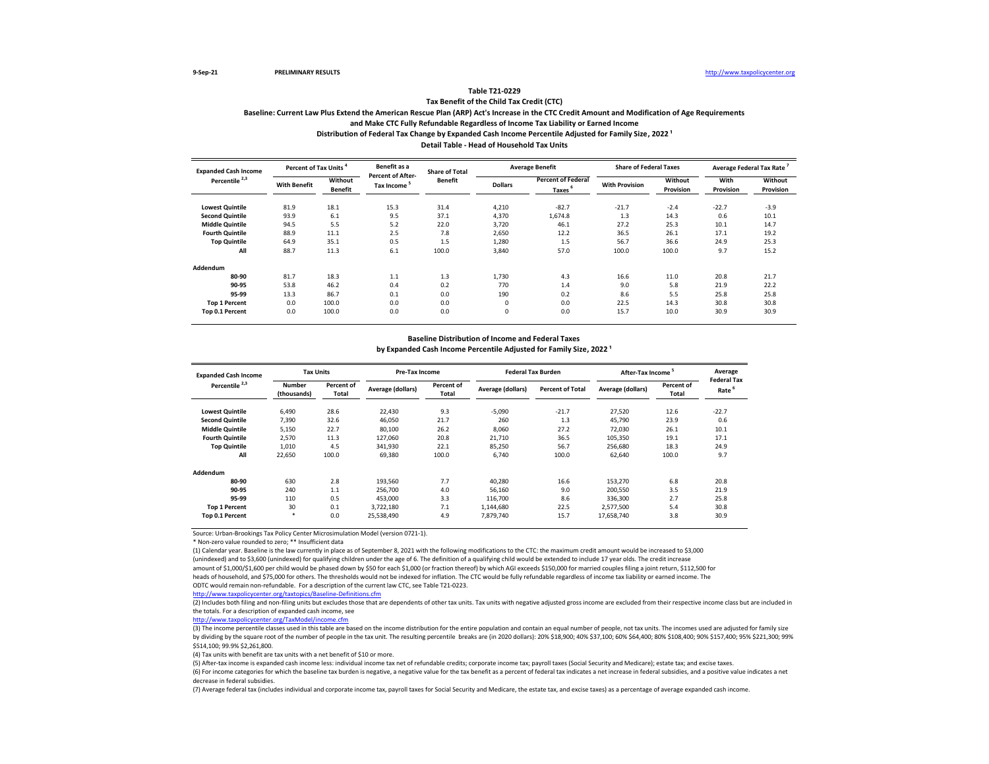#### **Tax Benefit of the Child Tax Credit (CTC) Baseline: Current Law Plus Extend the American Rescue Plan (ARP) Act's Increase in the CTC Credit Amount and Modification of Age Requirements and Make CTC Fully Refundable Regardless of Income Tax Liability or Earned Income** Distribution of Federal Tax Change by Expanded Cash Income Percentile Adjusted for Family Size, 2022<sup>1</sup> **Detail Table - Head of Household Tax Units**

| <b>Expanded Cash Income</b> |                     | <b>Percent of Tax Units</b>      |                                                     | <b>Share of Total</b> |                | <b>Average Benefit</b>                          | <b>Share of Federal Taxes</b> |                      | <b>Average Federal Tax Rate</b> |                             |
|-----------------------------|---------------------|----------------------------------|-----------------------------------------------------|-----------------------|----------------|-------------------------------------------------|-------------------------------|----------------------|---------------------------------|-----------------------------|
| Percentile <sup>2,3</sup>   | <b>With Benefit</b> | <b>Without</b><br><b>Benefit</b> | <b>Percent of After-</b><br>Tax Income <sup>5</sup> | <b>Benefit</b>        | <b>Dollars</b> | <b>Percent of Federal</b><br>Taxes <sup>6</sup> | <b>With Provision</b>         | Without<br>Provision | With<br>Provision               | <b>Without</b><br>Provision |
| <b>Lowest Quintile</b>      | 81.9                | 18.1                             | 15.3                                                | 31.4                  | 4,210          | $-82.7$                                         | $-21.7$                       | $-2.4$               | $-22.7$                         | $-3.9$                      |
| <b>Second Quintile</b>      | 93.9                | 6.1                              | 9.5                                                 | 37.1                  | 4,370          | 1,674.8                                         | 1.3                           | 14.3                 | 0.6                             | 10.1                        |
| <b>Middle Quintile</b>      | 94.5                | 5.5                              | 5.2                                                 | 22.0                  | 3,720          | 46.1                                            | 27.2                          | 25.3                 | 10.1                            | 14.7                        |
| <b>Fourth Quintile</b>      | 88.9                | 11.1                             | 2.5                                                 | 7.8                   | 2,650          | 12.2                                            | 36.5                          | 26.1                 | 17.1                            | 19.2                        |
| <b>Top Quintile</b>         | 64.9                | 35.1                             | 0.5                                                 | 1.5                   | 1,280          | 1.5                                             | 56.7                          | 36.6                 | 24.9                            | 25.3                        |
| All                         | 88.7                | 11.3                             | 6.1                                                 | 100.0                 | 3,840          | 57.0                                            | 100.0                         | 100.0                | 9.7                             | 15.2                        |
| Addendum                    |                     |                                  |                                                     |                       |                |                                                 |                               |                      |                                 |                             |
| 80-90                       | 81.7                | 18.3                             | 1.1                                                 | 1.3                   | 1,730          | 4.3                                             | 16.6                          | 11.0                 | 20.8                            | 21.7                        |
| 90-95                       | 53.8                | 46.2                             | 0.4                                                 | 0.2                   | 770            | 1.4                                             | 9.0                           | 5.8                  | 21.9                            | 22.2                        |
| 95-99                       | 13.3                | 86.7                             | 0.1                                                 | 0.0                   | 190            | 0.2                                             | 8.6                           | 5.5                  | 25.8                            | 25.8                        |
| <b>Top 1 Percent</b>        | 0.0                 | 100.0                            | 0.0                                                 | 0.0                   | 0              | 0.0                                             | 22.5                          | 14.3                 | 30.8                            | 30.8                        |
| <b>Top 0.1 Percent</b>      | 0.0                 | 100.0                            | 0.0                                                 | 0.0                   | 0              | 0.0                                             | 15.7                          | 10.0                 | 30.9                            | 30.9                        |

#### **Baseline Distribution of Income and Federal Taxes**

by Expanded Cash Income Percentile Adjusted for Family Size, 2022<sup>1</sup>

| <b>Expanded Cash Income</b> |                              | <b>Tax Units</b>    |                   | <b>Pre-Tax Income</b> |                   | <b>Federal Tax Burden</b> | <b>After-Tax Income</b> |                     | Average                                 |
|-----------------------------|------------------------------|---------------------|-------------------|-----------------------|-------------------|---------------------------|-------------------------|---------------------|-----------------------------------------|
| Percentile <sup>2,3</sup>   | <b>Number</b><br>(thousands) | Percent of<br>Total | Average (dollars) | Percent of<br>Total   | Average (dollars) | <b>Percent of Total</b>   | Average (dollars)       | Percent of<br>Total | <b>Federal Tax</b><br>Rate <sup>6</sup> |
| <b>Lowest Quintile</b>      | 6.490                        | 28.6                | 22.430            | 9.3                   | $-5,090$          | $-21.7$                   | 27,520                  | 12.6                | $-22.7$                                 |
| <b>Second Quintile</b>      | 7,390                        | 32.6                | 46,050            | 21.7                  | 260               | 1.3                       | 45,790                  | 23.9                | 0.6                                     |
| <b>Middle Quintile</b>      | 5,150                        | 22.7                | 80,100            | 26.2                  | 8.060             | 27.2                      | 72,030                  | 26.1                | 10.1                                    |
| <b>Fourth Quintile</b>      | 2,570                        | 11.3                | 127,060           | 20.8                  | 21,710            | 36.5                      | 105,350                 | 19.1                | 17.1                                    |
| <b>Top Quintile</b>         | 1,010                        | 4.5                 | 341,930           | 22.1                  | 85,250            | 56.7                      | 256,680                 | 18.3                | 24.9                                    |
| All                         | 22,650                       | 100.0               | 69,380            | 100.0                 | 6,740             | 100.0                     | 62,640                  | 100.0               | 9.7                                     |
| Addendum                    |                              |                     |                   |                       |                   |                           |                         |                     |                                         |
| 80-90                       | 630                          | 2.8                 | 193,560           | 7.7                   | 40,280            | 16.6                      | 153,270                 | 6.8                 | 20.8                                    |
| 90-95                       | 240                          | 1.1                 | 256,700           | 4.0                   | 56,160            | 9.0                       | 200,550                 | 3.5                 | 21.9                                    |
| 95-99                       | 110                          | 0.5                 | 453.000           | 3.3                   | 116,700           | 8.6                       | 336,300                 | 2.7                 | 25.8                                    |
| <b>Top 1 Percent</b>        | 30                           | 0.1                 | 3,722,180         | 7.1                   | 1,144,680         | 22.5                      | 2,577,500               | 5.4                 | 30.8                                    |
| Top 0.1 Percent             | $\ast$                       | 0.0                 | 25,538,490        | 4.9                   | 7,879,740         | 15.7                      | 17,658,740              | 3.8                 | 30.9                                    |

Source: Urban-Brookings Tax Policy Center Microsimulation Model (version 0721-1).

\* Non-zero value rounded to zero; \*\* Insufficient data

(1) Calendar year. Baseline is the law currently in place as of September 8, 2021 with the following modifications to the CTC: the maximum credit amount would be increased to \$3,000 (unindexed) and to \$3,600 (unindexed) for qualifying children under the age of 6. The definition of a qualifying child would be extended to include 17 year olds. The credit increase amount of \$1,000/\$1,600 per child would be phased down by \$50 for each \$1,000 (or fraction thereof) by which AGI exceeds \$150,000 for married couples filing a joint return, \$112,500 for heads of household, and \$75,000 for others. The thresholds would not be indexed for inflation. The CTC would be fully refundable regardless of income tax liability or earned income. The ODTC would remain non-refundable. For a description of the current law CTC, see Table T21-0223.

<http://www.taxpolicycenter.org/taxtopics/Baseline-Definitions.cfm>

(2) Includes both filing and non-filing units but excludes those that are dependents of other tax units. Tax units with negative adjusted gross income are excluded from their respective income class but are included in the totals. For a description of expanded cash income, see

[http://www.taxpolicycente](http://www.taxpolicycenter.org/TaxModel/income.cfm)r.org/TaxModel/income.cfm

(3) The income percentile classes used in this table are based on the income distribution for the entire population and contain an equal number of people, not tax units. The incomes used are adjusted for family size by dividing by the square root of the number of people in the tax unit. The resulting percentile breaks are (in 2020 dollars): 20% \$18,900; 40% \$37,100; 60% \$64,400; 80% \$108,400; 90% \$157,400; 95% \$221,300; 99% \$514,100; 99.9% \$2,261,800.

(4) Tax units with benefit are tax units with a net benefit of \$10 or more.

(5) After-tax income is expanded cash income less: individual income tax net of refundable credits; corporate income tax; payroll taxes (Social Security and Medicare); estate tax; and excise taxes.

(6) For income categories for which the baseline tax burden is negative, a negative value for the tax benefit as a percent of federal tax indicates a net increase in federal subsidies, and a positive value indicates a net decrease in federal subsidies.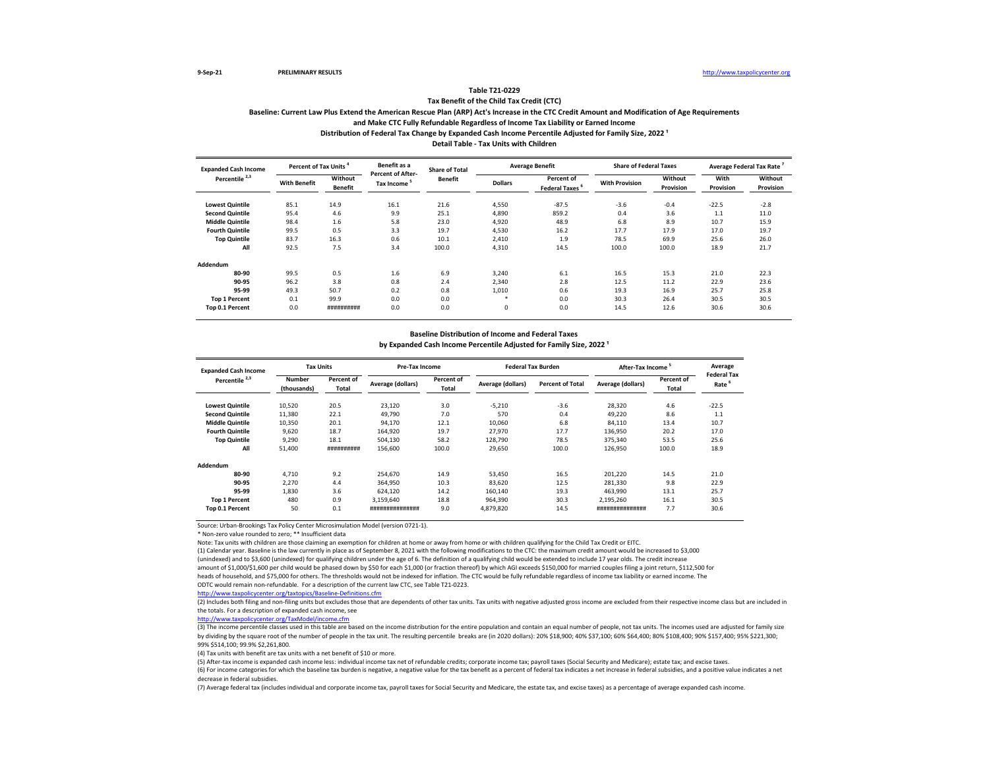#### **Tax Benefit of the Child Tax Credit (CTC) Table T21-0229**

## **Baseline: Current Law Plus Extend the American Rescue Plan (ARP) Act's Increase in the CTC Credit Amount and Modification of Age Requirements and Make CTC Fully Refundable Regardless of Income Tax Liability or Earned Income** Distribution of Federal Tax Change by Expanded Cash Income Percentile Adjusted for Family Size, 2022<sup>1</sup>

**Detail Table - Tax Units with Children**

| <b>Expanded Cash Income</b> | Percent of Tax Units <sup>4</sup> |                           | Benefit as a                                        | <b>Share of Total</b> |                | <b>Average Benefit</b>             | <b>Share of Federal Taxes</b> |                      | Average Federal Tax Rate |                      |
|-----------------------------|-----------------------------------|---------------------------|-----------------------------------------------------|-----------------------|----------------|------------------------------------|-------------------------------|----------------------|--------------------------|----------------------|
| Percentile <sup>2,3</sup>   | <b>With Benefit</b>               | Without<br><b>Benefit</b> | <b>Percent of After-</b><br>Tax Income <sup>5</sup> | <b>Benefit</b>        | <b>Dollars</b> | Percent of<br><b>Federal Taxes</b> | <b>With Provision</b>         | Without<br>Provision | With<br>Provision        | Without<br>Provision |
| <b>Lowest Quintile</b>      | 85.1                              | 14.9                      | 16.1                                                | 21.6                  | 4,550          | $-87.5$                            | $-3.6$                        | $-0.4$               | $-22.5$                  | $-2.8$               |
| <b>Second Quintile</b>      | 95.4                              | 4.6                       | 9.9                                                 | 25.1                  | 4,890          | 859.2                              | 0.4                           | 3.6                  | 1.1                      | 11.0                 |
| <b>Middle Quintile</b>      | 98.4                              | 1.6                       | 5.8                                                 | 23.0                  | 4,920          | 48.9                               | 6.8                           | 8.9                  | 10.7                     | 15.9                 |
| <b>Fourth Quintile</b>      | 99.5                              | 0.5                       | 3.3                                                 | 19.7                  | 4,530          | 16.2                               | 17.7                          | 17.9                 | 17.0                     | 19.7                 |
| <b>Top Quintile</b>         | 83.7                              | 16.3                      | 0.6                                                 | 10.1                  | 2.410          | 1.9                                | 78.5                          | 69.9                 | 25.6                     | 26.0                 |
| All                         | 92.5                              | 7.5                       | 3.4                                                 | 100.0                 | 4,310          | 14.5                               | 100.0                         | 100.0                | 18.9                     | 21.7                 |
| Addendum                    |                                   |                           |                                                     |                       |                |                                    |                               |                      |                          |                      |
| 80-90                       | 99.5                              | 0.5                       | 1.6                                                 | 6.9                   | 3,240          | 6.1                                | 16.5                          | 15.3                 | 21.0                     | 22.3                 |
| 90-95                       | 96.2                              | 3.8                       | 0.8                                                 | 2.4                   | 2.340          | 2.8                                | 12.5                          | 11.2                 | 22.9                     | 23.6                 |
| 95-99                       | 49.3                              | 50.7                      | 0.2                                                 | 0.8                   | 1,010          | 0.6                                | 19.3                          | 16.9                 | 25.7                     | 25.8                 |
| <b>Top 1 Percent</b>        | 0.1                               | 99.9                      | 0.0                                                 | 0.0                   |                | 0.0                                | 30.3                          | 26.4                 | 30.5                     | 30.5                 |
| Top 0.1 Percent             | 0.0                               | ##########                | 0.0                                                 | 0.0                   | 0              | 0.0                                | 14.5                          | 12.6                 | 30.6                     | 30.6                 |

## **Baseline Distribution of Income and Federal Taxes**

by Expanded Cash Income Percentile Adjusted for Family Size, 2022<sup>1</sup>

| <b>Expanded Cash Income</b> | <b>Tax Units</b>      |                     | <b>Pre-Tax Income</b> |                            |                   | <b>Federal Tax Burden</b> | After-Tax Income  |                     | Average                                 |
|-----------------------------|-----------------------|---------------------|-----------------------|----------------------------|-------------------|---------------------------|-------------------|---------------------|-----------------------------------------|
| Percentile <sup>2,3</sup>   | Number<br>(thousands) | Percent of<br>Total | Average (dollars)     | Percent of<br><b>Total</b> | Average (dollars) | <b>Percent of Total</b>   | Average (dollars) | Percent of<br>Total | <b>Federal Tax</b><br>Rate <sup>6</sup> |
| <b>Lowest Quintile</b>      | 10,520                | 20.5                | 23,120                | 3.0                        | $-5,210$          | $-3.6$                    | 28,320            | 4.6                 | $-22.5$                                 |
| <b>Second Quintile</b>      | 11,380                | 22.1                | 49,790                | 7.0                        | 570               | 0.4                       | 49,220            | 8.6                 | 1.1                                     |
| <b>Middle Quintile</b>      | 10,350                | 20.1                | 94,170                | 12.1                       | 10,060            | 6.8                       | 84,110            | 13.4                | 10.7                                    |
| <b>Fourth Quintile</b>      | 9,620                 | 18.7                | 164,920               | 19.7                       | 27,970            | 17.7                      | 136,950           | 20.2                | 17.0                                    |
| <b>Top Quintile</b>         | 9,290                 | 18.1                | 504,130               | 58.2                       | 128,790           | 78.5                      | 375,340           | 53.5                | 25.6                                    |
| All                         | 51,400                | ##########          | 156,600               | 100.0                      | 29,650            | 100.0                     | 126,950           | 100.0               | 18.9                                    |
| Addendum                    |                       |                     |                       |                            |                   |                           |                   |                     |                                         |
| 80-90                       | 4.710                 | 9.2                 | 254.670               | 14.9                       | 53.450            | 16.5                      | 201.220           | 14.5                | 21.0                                    |
| 90-95                       | 2.270                 | 4.4                 | 364.950               | 10.3                       | 83.620            | 12.5                      | 281.330           | 9.8                 | 22.9                                    |
| 95-99                       | 1.830                 | 3.6                 | 624.120               | 14.2                       | 160.140           | 19.3                      | 463.990           | 13.1                | 25.7                                    |
| <b>Top 1 Percent</b>        | 480                   | 0.9                 | 3.159.640             | 18.8                       | 964.390           | 30.3                      | 2.195.260         | 16.1                | 30.5                                    |
| Top 0.1 Percent             | 50                    | 0.1                 | ****************      | 9.0                        | 4,879,820         | 14.5                      | ****************  | 7.7                 | 30.6                                    |

Source: Urban-Brookings Tax Policy Center Microsimulation Model (version 0721-1).

\* Non-zero value rounded to zero; \*\* Insufficient data

Note: Tax units with children are those claiming an exemption for children at home or away from home or with children qualifying for the Child Tax Credit or EITC.

(1) Calendar year. Baseline is the law currently in place as of September 8, 2021 with the following modifications to the CTC: the maximum credit amount would be increased to \$3,000

(unindexed) and to \$3,600 (unindexed) for qualifying children under the age of 6. The definition of a qualifying child would be extended to include 17 year olds. The credit increase amount of \$1,000/\$1,600 per child would be phased down by \$50 for each \$1,000 (or fraction thereof) by which AGI exceeds \$150,000 for married couples filing a joint return, \$112,500 for

heads of household, and \$75,000 for others. The thresholds would not be indexed for inflation. The CTC would be fully refundable regardless of income tax liability or earned income. The ODTC would remain non-refundable. For a description of the current law CTC, see Table T21-0223.

<http://www.taxpolicycenter.org/taxtopics/Baseline-Definitions.cfm>

(2) Includes both filing and non-filing units but excludes those that are dependents of other tax units. Tax units with negative adjusted gross income are excluded from their respective income class but are included in the totals. For a description of expanded cash income, see

[http://www.taxpolicycente](http://www.taxpolicycenter.org/TaxModel/income.cfm)r.org/TaxModel/income.cfm

(3) The income percentile classes used in this table are based on the income distribution for the entire population and contain an equal number of people, not tax units. The incomes used are adjusted for family size by dividing by the square root of the number of people in the tax unit. The resulting percentile breaks are (in 2020 dollars): 20% \$18,900; 40% \$37,100; 60% \$64,400; 80% \$108,400; 90% \$157,400; 95% \$221,300; 99% \$514,100; 99.9% \$2,261,800.

(4) Tax units with benefit are tax units with a net benefit of \$10 or more.

(5) After-tax income is expanded cash income less: individual income tax net of refundable credits; corporate income tax; payroll taxes (Social Security and Medicare); estate tax; and excise taxes.

(6) For income categories for which the baseline tax burden is negative, a negative value for the tax benefit as a percent of federal tax indicates a net increase in federal subsidies, and a positive value indicates a net decrease in federal subsidies.